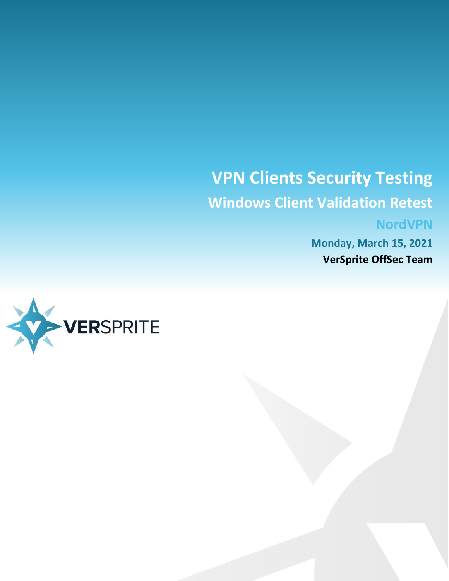# **VPN Clients Security Testing Windows Client Validation Retest NordVPN**

**Monday, March 15, 2021 VerSprite OffSec Team**

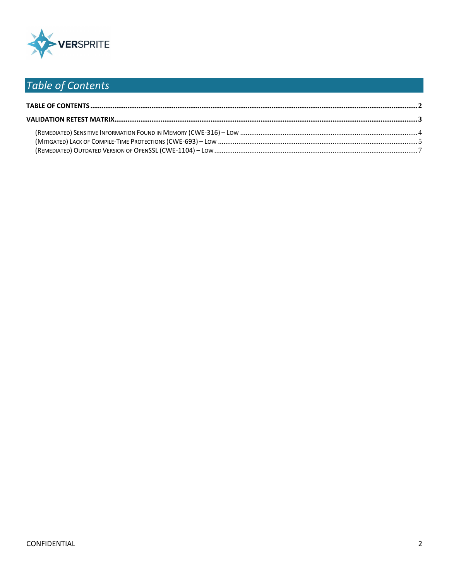

# <span id="page-1-0"></span>Table of Contents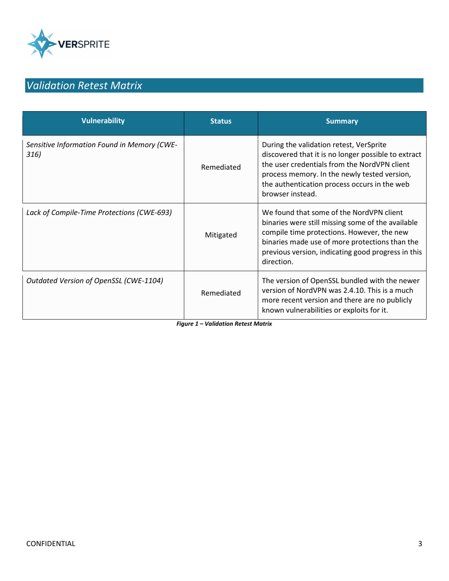

# <span id="page-2-0"></span>*Validation Retest Matrix*

| <b>Vulnerability</b>                                | <b>Status</b> | <b>Summary</b>                                                                                                                                                                                                                                                     |
|-----------------------------------------------------|---------------|--------------------------------------------------------------------------------------------------------------------------------------------------------------------------------------------------------------------------------------------------------------------|
| Sensitive Information Found in Memory (CWE-<br>316) | Remediated    | During the validation retest, VerSprite<br>discovered that it is no longer possible to extract<br>the user credentials from the NordVPN client<br>process memory. In the newly tested version,<br>the authentication process occurs in the web<br>browser instead. |
| Lack of Compile-Time Protections (CWE-693)          | Mitigated     | We found that some of the NordVPN client<br>binaries were still missing some of the available<br>compile time protections. However, the new<br>binaries made use of more protections than the<br>previous version, indicating good progress in this<br>direction.  |
| Outdated Version of OpenSSL (CWE-1104)              | Remediated    | The version of OpenSSL bundled with the newer<br>version of NordVPN was 2.4.10. This is a much<br>more recent version and there are no publicly<br>known vulnerabilities or exploits for it.                                                                       |

*Figure 1 – Validation Retest Matrix*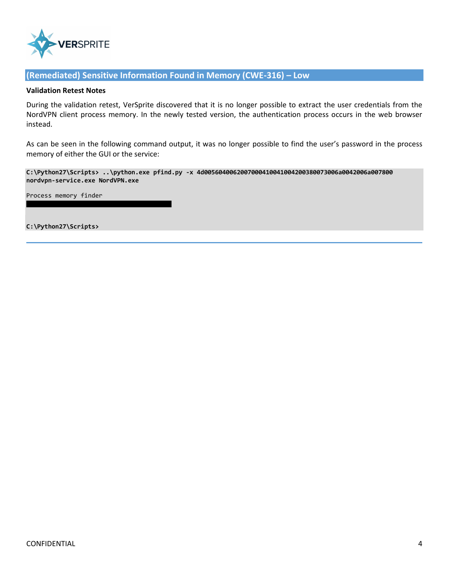

### <span id="page-3-0"></span>**(Remediated) Sensitive Information Found in Memory (CWE-316) – Low**

#### **Validation Retest Notes**

During the validation retest, VerSprite discovered that it is no longer possible to extract the user credentials from the NordVPN client process memory. In the newly tested version, the authentication process occurs in the web browser instead.

As can be seen in the following command output, it was no longer possible to find the user's password in the process memory of either the GUI or the service:

**C:\Python27\Scripts> ..\python.exe pfind.py -x 4d0056040062007000410041004200380073006a0042006a007800 nordvpn-service.exe NordVPN.exe**

Process memory finder

**C:\Python27\Scripts>**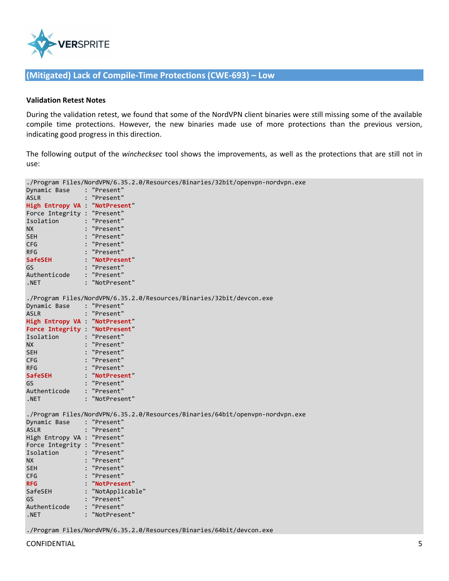

## <span id="page-4-0"></span>**(Mitigated) Lack of Compile-Time Protections (CWE-693) – Low**

#### **Validation Retest Notes**

During the validation retest, we found that some of the NordVPN client binaries were still missing some of the available compile time protections. However, the new binaries made use of more protections than the previous version, indicating good progress in this direction.

The following output of the *winchecksec* tool shows the improvements, as well as the protections that are still not in use:

| ./Program Files/NordVPN/6.35.2.0/Resources/Binaries/32bit/openvpn-nordvpn.exe |                                                                               |  |  |  |  |
|-------------------------------------------------------------------------------|-------------------------------------------------------------------------------|--|--|--|--|
| Dynamic Base : "Present"                                                      |                                                                               |  |  |  |  |
| <b>ASLR</b>                                                                   | : "Present"                                                                   |  |  |  |  |
| High Entropy VA : NotPresent                                                  |                                                                               |  |  |  |  |
| Force Integrity : "Present"                                                   |                                                                               |  |  |  |  |
| Isolation : "Present"                                                         |                                                                               |  |  |  |  |
| <b>NX</b>                                                                     | : "Present"                                                                   |  |  |  |  |
| <b>SEH</b>                                                                    | : "Present"                                                                   |  |  |  |  |
| <b>CFG</b>                                                                    | : "Present"                                                                   |  |  |  |  |
| <b>RFG</b>                                                                    | : "Present"                                                                   |  |  |  |  |
| <b>SafeSEH</b>                                                                | : "NotPresent"                                                                |  |  |  |  |
| GS                                                                            | : "Present"                                                                   |  |  |  |  |
| Authenticode : "Present"                                                      |                                                                               |  |  |  |  |
| .NET                                                                          | : "NotPresent"                                                                |  |  |  |  |
|                                                                               |                                                                               |  |  |  |  |
|                                                                               | ./Program Files/NordVPN/6.35.2.0/Resources/Binaries/32bit/devcon.exe          |  |  |  |  |
| Dynamic Base : "Present"                                                      |                                                                               |  |  |  |  |
| <b>ASLR</b>                                                                   | : "Present"                                                                   |  |  |  |  |
| High Entropy VA : NotPresent"                                                 |                                                                               |  |  |  |  |
| Force Integrity : NotPresent"                                                 |                                                                               |  |  |  |  |
| Isolation : "Present"                                                         |                                                                               |  |  |  |  |
| <b>NX</b>                                                                     | : "Present"                                                                   |  |  |  |  |
| SEH.                                                                          | : "Present"                                                                   |  |  |  |  |
| <b>CFG</b>                                                                    | : "Present"                                                                   |  |  |  |  |
| <b>RFG</b>                                                                    | : "Present"                                                                   |  |  |  |  |
| SafeSEH                                                                       | : "NotPresent"                                                                |  |  |  |  |
| GS                                                                            | : "Present"                                                                   |  |  |  |  |
| Authenticode                                                                  | : "Present"                                                                   |  |  |  |  |
| .NET                                                                          | : "NotPresent"                                                                |  |  |  |  |
|                                                                               |                                                                               |  |  |  |  |
|                                                                               | ./Program Files/NordVPN/6.35.2.0/Resources/Binaries/64bit/openvpn-nordvpn.exe |  |  |  |  |
| Dynamic Base : "Present"                                                      |                                                                               |  |  |  |  |
| <b>ASLR</b>                                                                   | : "Present"                                                                   |  |  |  |  |
| High Entropy VA : "Present"                                                   |                                                                               |  |  |  |  |
| Force Integrity : "Present"                                                   |                                                                               |  |  |  |  |
| Isolation                                                                     | : "Present"                                                                   |  |  |  |  |
| NX                                                                            | : "Present"                                                                   |  |  |  |  |
| <b>SEH</b>                                                                    | : "Present"                                                                   |  |  |  |  |
| <b>CFG</b>                                                                    | : "Present"                                                                   |  |  |  |  |
| <b>RFG</b>                                                                    | : "NotPresent                                                                 |  |  |  |  |
| SafeSEH                                                                       | : "NotApplicable"                                                             |  |  |  |  |
| GS                                                                            | : "Present"                                                                   |  |  |  |  |
| Authenticode                                                                  | : "Present"                                                                   |  |  |  |  |
| .NET                                                                          | : "NotPresent"                                                                |  |  |  |  |
|                                                                               |                                                                               |  |  |  |  |
| ./Program Files/NordVPN/6.35.2.0/Resources/Binaries/64bit/devcon.exe          |                                                                               |  |  |  |  |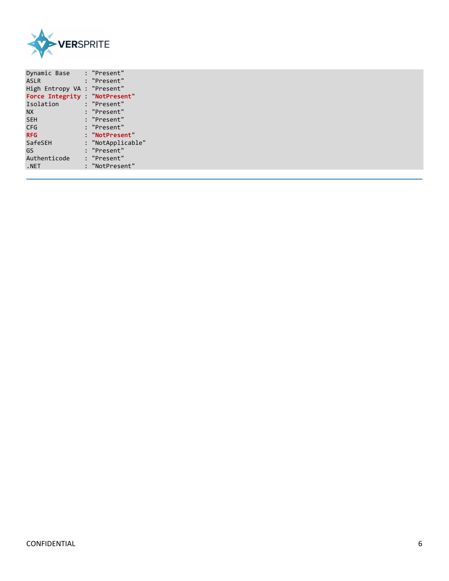

| Dynamic Base                   | : "Present"       |
|--------------------------------|-------------------|
| <b>ASLR</b>                    | : "Present"       |
| High Entropy VA : "Present"    |                   |
| Force Integrity : "NotPresent" |                   |
| Isolation                      | : "Present"       |
| <b>NX</b>                      | : "Present"       |
| <b>SEH</b>                     | : "Present"       |
| CFG                            | : "Present"       |
| <b>RFG</b>                     | : "NotPresent"    |
| SafeSEH                        | : "NotApplicable" |
| GS                             | : "Present"       |
| Authenticode                   | : "Present"       |
| .NET                           | : "NotPresent"    |
|                                |                   |